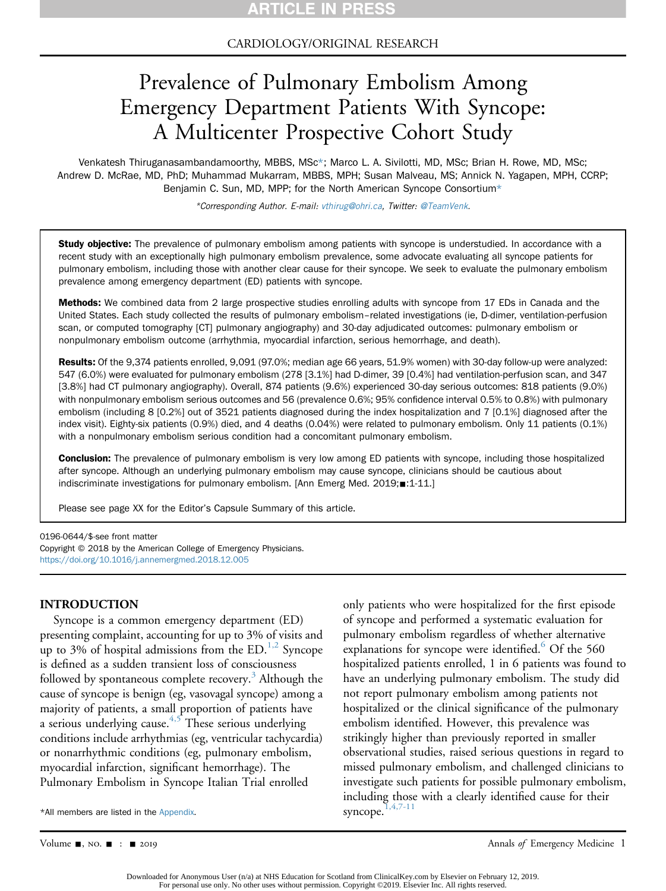### CARDIOLOGY/ORIGINAL RESEARCH

# Prevalence of Pulmonary Embolism Among Emergency Department Patients With Syncope: A Multicenter Prospective Cohort Study

Venkatesh Thiruganasambandamoorthy, MBBS, MSc\*; Marco L. A. Sivilotti, MD, MSc; Brian H. Rowe, MD, MSc; Andrew D. McRae, MD, PhD; Muhammad Mukarram, MBBS, MPH; Susan Malveau, MS; Annick N. Yagapen, MPH, CCRP; Benjamin C. Sun, MD, MPP; for the North American Syncope Consortium\*

\*Corresponding Author. E-mail: [vthirug@ohri.ca](mailto:vthirug@ohri.ca), Twitter: [@TeamVenk.](https://twitter.com/TeamVenk)

Study objective: The prevalence of pulmonary embolism among patients with syncope is understudied. In accordance with a recent study with an exceptionally high pulmonary embolism prevalence, some advocate evaluating all syncope patients for pulmonary embolism, including those with another clear cause for their syncope. We seek to evaluate the pulmonary embolism prevalence among emergency department (ED) patients with syncope.

Methods: We combined data from 2 large prospective studies enrolling adults with syncope from 17 EDs in Canada and the United States. Each study collected the results of pulmonary embolism–related investigations (ie, D-dimer, ventilation-perfusion scan, or computed tomography [CT] pulmonary angiography) and 30-day adjudicated outcomes: pulmonary embolism or nonpulmonary embolism outcome (arrhythmia, myocardial infarction, serious hemorrhage, and death).

Results: Of the 9,374 patients enrolled, 9,091 (97.0%; median age 66 years, 51.9% women) with 30-day follow-up were analyzed: 547 (6.0%) were evaluated for pulmonary embolism (278 [3.1%] had D-dimer, 39 [0.4%] had ventilation-perfusion scan, and 347 [3.8%] had CT pulmonary angiography). Overall, 874 patients (9.6%) experienced 30-day serious outcomes: 818 patients (9.0%) with nonpulmonary embolism serious outcomes and 56 (prevalence 0.6%; 95% confidence interval 0.5% to 0.8%) with pulmonary embolism (including 8 [0.2%] out of 3521 patients diagnosed during the index hospitalization and 7 [0.1%] diagnosed after the index visit). Eighty-six patients (0.9%) died, and 4 deaths (0.04%) were related to pulmonary embolism. Only 11 patients (0.1%) with a nonpulmonary embolism serious condition had a concomitant pulmonary embolism.

**Conclusion:** The prevalence of pulmonary embolism is very low among ED patients with syncope, including those hospitalized after syncope. Although an underlying pulmonary embolism may cause syncope, clinicians should be cautious about indiscriminate investigations for pulmonary embolism. [Ann Emerg Med.  $2019; \blacksquare: 1-11.$ ]

Please see page XX for the Editor's Capsule Summary of this article.

0196-0644/\$-see front matter

Copyright © 2018 by the American College of Emergency Physicians. <https://doi.org/10.1016/j.annemergmed.2018.12.005>

#### INTRODUCTION

Syncope is a common emergency department (ED) presenting complaint, accounting for up to 3% of visits and up to 3% of hospital admissions from the  $ED<sup>1,2</sup>$  $ED<sup>1,2</sup>$  $ED<sup>1,2</sup>$  Syncope is defined as a sudden transient loss of consciousness followed by spontaneous complete recovery.<sup>[3](#page-9-1)</sup> Although the cause of syncope is benign (eg, vasovagal syncope) among a majority of patients, a small proportion of patients have a serious underlying cause.<sup>[4,5](#page-9-2)</sup> These serious underlying conditions include arrhythmias (eg, ventricular tachycardia) or nonarrhythmic conditions (eg, pulmonary embolism, myocardial infarction, significant hemorrhage). The Pulmonary Embolism in Syncope Italian Trial enrolled

\*All members are listed in the Appendix

only patients who were hospitalized for the first episode of syncope and performed a systematic evaluation for pulmonary embolism regardless of whether alternative explanations for syncope were identified.<sup>6</sup> Of the 560 hospitalized patients enrolled, 1 in 6 patients was found to have an underlying pulmonary embolism. The study did not report pulmonary embolism among patients not hospitalized or the clinical significance of the pulmonary embolism identified. However, this prevalence was strikingly higher than previously reported in smaller observational studies, raised serious questions in regard to missed pulmonary embolism, and challenged clinicians to investigate such patients for possible pulmonary embolism, including those with a clearly identified cause for their syncope.<sup>1,4,7-11</sup>

Volume  $\blacksquare$ , NO.  $\blacksquare$  :  $\blacksquare$  2019 2019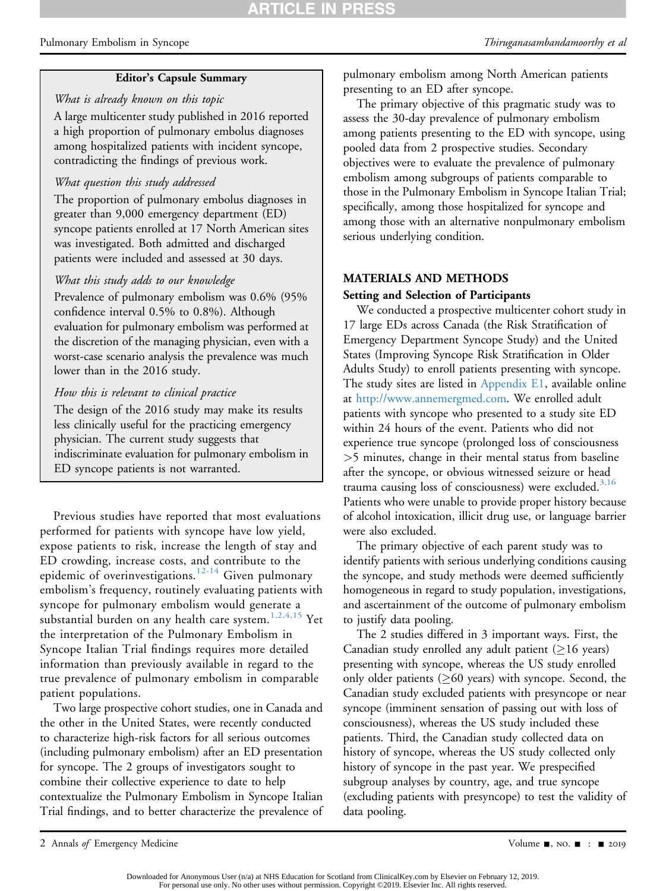#### Editor's Capsule Summary

### What is already known on this topic

A large multicenter study published in 2016 reported a high proportion of pulmonary embolus diagnoses among hospitalized patients with incident syncope, contradicting the findings of previous work.

### What question this study addressed

The proportion of pulmonary embolus diagnoses in greater than 9,000 emergency department (ED) syncope patients enrolled at 17 North American sites was investigated. Both admitted and discharged patients were included and assessed at 30 days.

#### What this study adds to our knowledge

Prevalence of pulmonary embolism was 0.6% (95% confidence interval 0.5% to 0.8%). Although evaluation for pulmonary embolism was performed at the discretion of the managing physician, even with a worst-case scenario analysis the prevalence was much lower than in the 2016 study.

#### How this is relevant to clinical practice

The design of the 2016 study may make its results less clinically useful for the practicing emergency physician. The current study suggests that indiscriminate evaluation for pulmonary embolism in ED syncope patients is not warranted.

Previous studies have reported that most evaluations performed for patients with syncope have low yield, expose patients to risk, increase the length of stay and ED crowding, increase costs, and contribute to the epidemic of overinvestigations.<sup>[12-14](#page-9-4)</sup> Given pulmonary embolism's frequency, routinely evaluating patients with syncope for pulmonary embolism would generate a substantial burden on any health care system. $^{1,2,4,15}$  $^{1,2,4,15}$  $^{1,2,4,15}$  Yet the interpretation of the Pulmonary Embolism in Syncope Italian Trial findings requires more detailed information than previously available in regard to the true prevalence of pulmonary embolism in comparable patient populations.

Two large prospective cohort studies, one in Canada and the other in the United States, were recently conducted to characterize high-risk factors for all serious outcomes (including pulmonary embolism) after an ED presentation for syncope. The 2 groups of investigators sought to combine their collective experience to date to help contextualize the Pulmonary Embolism in Syncope Italian Trial findings, and to better characterize the prevalence of pulmonary embolism among North American patients presenting to an ED after syncope.

The primary objective of this pragmatic study was to assess the 30-day prevalence of pulmonary embolism among patients presenting to the ED with syncope, using pooled data from 2 prospective studies. Secondary objectives were to evaluate the prevalence of pulmonary embolism among subgroups of patients comparable to those in the Pulmonary Embolism in Syncope Italian Trial; specifically, among those hospitalized for syncope and among those with an alternative nonpulmonary embolism serious underlying condition.

#### MATERIALS AND METHODS

#### Setting and Selection of Participants

We conducted a prospective multicenter cohort study in 17 large EDs across Canada (the Risk Stratification of Emergency Department Syncope Study) and the United States (Improving Syncope Risk Stratification in Older Adults Study) to enroll patients presenting with syncope. The study sites are listed in Appendix E1, available online at [http://www.annemergmed.com.](http://www.annemergmed.com) We enrolled adult patients with syncope who presented to a study site ED within 24 hours of the event. Patients who did not experience true syncope (prolonged loss of consciousness >5 minutes, change in their mental status from baseline after the syncope, or obvious witnessed seizure or head trauma causing loss of consciousness) were excluded. $3,16$ Patients who were unable to provide proper history because of alcohol intoxication, illicit drug use, or language barrier were also excluded.

The primary objective of each parent study was to identify patients with serious underlying conditions causing the syncope, and study methods were deemed sufficiently homogeneous in regard to study population, investigations, and ascertainment of the outcome of pulmonary embolism to justify data pooling.

The 2 studies differed in 3 important ways. First, the Canadian study enrolled any adult patient  $(≥16$  years) presenting with syncope, whereas the US study enrolled only older patients ( $\geq 60$  years) with syncope. Second, the Canadian study excluded patients with presyncope or near syncope (imminent sensation of passing out with loss of consciousness), whereas the US study included these patients. Third, the Canadian study collected data on history of syncope, whereas the US study collected only history of syncope in the past year. We prespecified subgroup analyses by country, age, and true syncope (excluding patients with presyncope) to test the validity of data pooling.

<sup>2</sup> Annals of Emergency Medicine **2.1 Annals of Emergency Medicine** 3.1 Annals of Emergency Medicine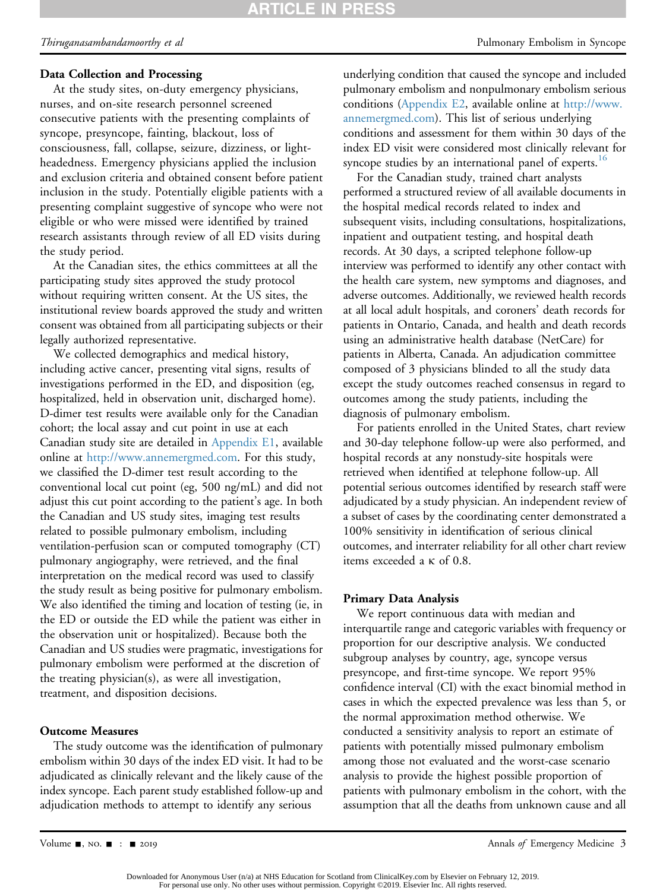### Data Collection and Processing

At the study sites, on-duty emergency physicians, nurses, and on-site research personnel screened consecutive patients with the presenting complaints of syncope, presyncope, fainting, blackout, loss of consciousness, fall, collapse, seizure, dizziness, or lightheadedness. Emergency physicians applied the inclusion and exclusion criteria and obtained consent before patient inclusion in the study. Potentially eligible patients with a presenting complaint suggestive of syncope who were not eligible or who were missed were identified by trained research assistants through review of all ED visits during the study period.

At the Canadian sites, the ethics committees at all the participating study sites approved the study protocol without requiring written consent. At the US sites, the institutional review boards approved the study and written consent was obtained from all participating subjects or their legally authorized representative.

We collected demographics and medical history, including active cancer, presenting vital signs, results of investigations performed in the ED, and disposition (eg, hospitalized, held in observation unit, discharged home). D-dimer test results were available only for the Canadian cohort; the local assay and cut point in use at each Canadian study site are detailed in Appendix E1, available online at <http://www.annemergmed.com>. For this study, we classified the D-dimer test result according to the conventional local cut point (eg, 500 ng/mL) and did not adjust this cut point according to the patient's age. In both the Canadian and US study sites, imaging test results related to possible pulmonary embolism, including ventilation-perfusion scan or computed tomography (CT) pulmonary angiography, were retrieved, and the final interpretation on the medical record was used to classify the study result as being positive for pulmonary embolism. We also identified the timing and location of testing (ie, in the ED or outside the ED while the patient was either in the observation unit or hospitalized). Because both the Canadian and US studies were pragmatic, investigations for pulmonary embolism were performed at the discretion of the treating physician(s), as were all investigation, treatment, and disposition decisions.

#### Outcome Measures

The study outcome was the identification of pulmonary embolism within 30 days of the index ED visit. It had to be adjudicated as clinically relevant and the likely cause of the index syncope. Each parent study established follow-up and adjudication methods to attempt to identify any serious

underlying condition that caused the syncope and included pulmonary embolism and nonpulmonary embolism serious conditions (Appendix E2, available online at [http://www.](http://www.annemergmed.com) [annemergmed.com\)](http://www.annemergmed.com). This list of serious underlying conditions and assessment for them within 30 days of the index ED visit were considered most clinically relevant for syncope studies by an international panel of experts.<sup>16</sup>

For the Canadian study, trained chart analysts performed a structured review of all available documents in the hospital medical records related to index and subsequent visits, including consultations, hospitalizations, inpatient and outpatient testing, and hospital death records. At 30 days, a scripted telephone follow-up interview was performed to identify any other contact with the health care system, new symptoms and diagnoses, and adverse outcomes. Additionally, we reviewed health records at all local adult hospitals, and coroners' death records for patients in Ontario, Canada, and health and death records using an administrative health database (NetCare) for patients in Alberta, Canada. An adjudication committee composed of 3 physicians blinded to all the study data except the study outcomes reached consensus in regard to outcomes among the study patients, including the diagnosis of pulmonary embolism.

For patients enrolled in the United States, chart review and 30-day telephone follow-up were also performed, and hospital records at any nonstudy-site hospitals were retrieved when identified at telephone follow-up. All potential serious outcomes identified by research staff were adjudicated by a study physician. An independent review of a subset of cases by the coordinating center demonstrated a 100% sensitivity in identification of serious clinical outcomes, and interrater reliability for all other chart review items exceeded a k of 0.8.

#### Primary Data Analysis

We report continuous data with median and interquartile range and categoric variables with frequency or proportion for our descriptive analysis. We conducted subgroup analyses by country, age, syncope versus presyncope, and first-time syncope. We report 95% confidence interval (CI) with the exact binomial method in cases in which the expected prevalence was less than 5, or the normal approximation method otherwise. We conducted a sensitivity analysis to report an estimate of patients with potentially missed pulmonary embolism among those not evaluated and the worst-case scenario analysis to provide the highest possible proportion of patients with pulmonary embolism in the cohort, with the assumption that all the deaths from unknown cause and all

Volume -, no. - : - 2019 Annals of Emergency Medicine 3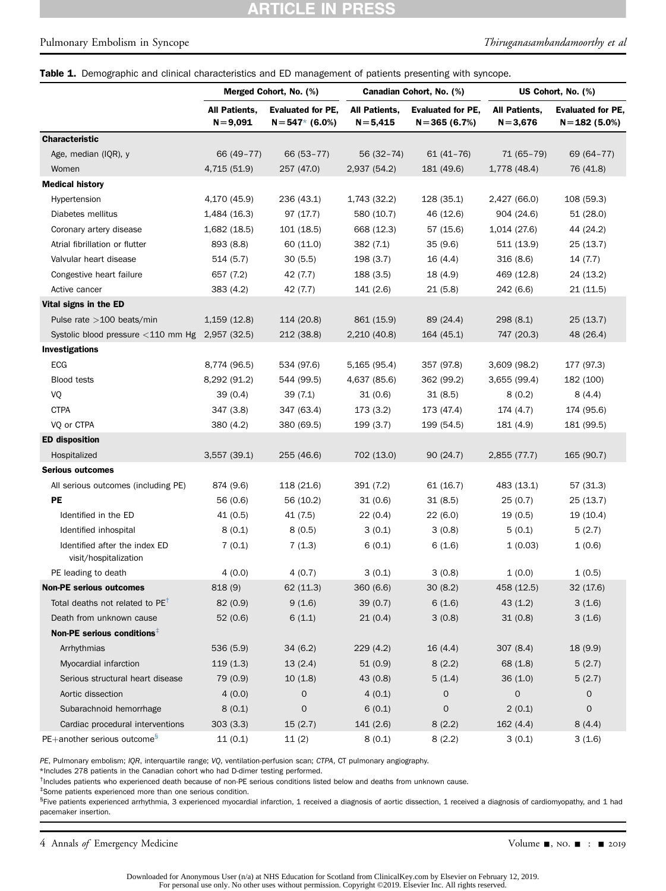# **ARTICLE IN PRESS**

#### Pulmonary Embolism in Syncope Thiruganasambandamoorthy et al

#### Table 1. Demographic and clinical characteristics and ED management of patients presenting with syncope.

|                                                        | Merged Cohort, No. (%)<br>All Patients,<br><b>Evaluated for PE,</b><br>$N = 9,091$<br>$N = 547*$ (6.0%) |            |                              | Canadian Cohort, No. (%)                    | US Cohort, No. (%)           |                                              |  |
|--------------------------------------------------------|---------------------------------------------------------------------------------------------------------|------------|------------------------------|---------------------------------------------|------------------------------|----------------------------------------------|--|
|                                                        |                                                                                                         |            | All Patients,<br>$N = 5,415$ | <b>Evaluated for PE,</b><br>$N = 365(6.7%)$ | All Patients,<br>$N = 3,676$ | <b>Evaluated for PE,</b><br>$N = 182(5.0\%)$ |  |
| <b>Characteristic</b>                                  |                                                                                                         |            |                              |                                             |                              |                                              |  |
| Age, median (IQR), y                                   | 66 (49-77)                                                                                              | 66 (53-77) | 56 (32-74)                   | $61(41 - 76)$                               | 71 (65-79)                   | 69 (64-77)                                   |  |
| Women                                                  | 4,715 (51.9)                                                                                            | 257 (47.0) | 2,937 (54.2)                 | 181 (49.6)                                  | 1,778 (48.4)                 | 76 (41.8)                                    |  |
| <b>Medical history</b>                                 |                                                                                                         |            |                              |                                             |                              |                                              |  |
| Hypertension                                           | 4,170 (45.9)                                                                                            | 236 (43.1) | 1,743 (32.2)                 | 128 (35.1)                                  | 2,427 (66.0)                 | 108 (59.3)                                   |  |
| Diabetes mellitus                                      | 1,484 (16.3)                                                                                            | 97(17.7)   | 580 (10.7)                   | 46 (12.6)                                   | 904 (24.6)                   | 51(28.0)                                     |  |
| Coronary artery disease                                | 1,682 (18.5)                                                                                            | 101 (18.5) | 668 (12.3)                   | 57 (15.6)                                   | 1,014 (27.6)                 | 44 (24.2)                                    |  |
| Atrial fibrillation or flutter                         | 893 (8.8)                                                                                               | 60 (11.0)  | 382 (7.1)                    | 35(9.6)                                     | 511 (13.9)                   | 25(13.7)                                     |  |
| Valvular heart disease                                 | 514(5.7)                                                                                                | 30(5.5)    | 198(3.7)                     | 16(4.4)                                     | 316(8.6)                     | 14(7.7)                                      |  |
| Congestive heart failure                               | 657 (7.2)                                                                                               | 42 (7.7)   | 188 (3.5)                    | 18 (4.9)                                    | 469 (12.8)                   | 24 (13.2)                                    |  |
| Active cancer                                          | 383 (4.2)                                                                                               | 42 (7.7)   | 141 (2.6)                    | 21(5.8)                                     | 242 (6.6)                    | 21(11.5)                                     |  |
| Vital signs in the ED                                  |                                                                                                         |            |                              |                                             |                              |                                              |  |
| Pulse rate $>100$ beats/min                            | 1,159(12.8)                                                                                             | 114 (20.8) | 861 (15.9)                   | 89 (24.4)                                   | 298 (8.1)                    | 25(13.7)                                     |  |
| Systolic blood pressure $<$ 110 mm Hg 2,957 (32.5)     |                                                                                                         | 212 (38.8) | 2,210 (40.8)                 | 164 (45.1)                                  | 747 (20.3)                   | 48 (26.4)                                    |  |
| Investigations                                         |                                                                                                         |            |                              |                                             |                              |                                              |  |
| ECG                                                    | 8,774 (96.5)                                                                                            | 534 (97.6) | 5,165 (95.4)                 | 357 (97.8)                                  | 3,609 (98.2)                 | 177 (97.3)                                   |  |
| Blood tests                                            | 8,292 (91.2)                                                                                            | 544 (99.5) | 4,637 (85.6)                 | 362 (99.2)                                  | 3,655 (99.4)                 | 182 (100)                                    |  |
| VQ                                                     | 39(0.4)                                                                                                 | 39(7.1)    | 31(0.6)                      | 31(8.5)                                     | 8(0.2)                       | 8(4.4)                                       |  |
| <b>CTPA</b>                                            | 347 (3.8)                                                                                               | 347 (63.4) | 173(3.2)                     | 173 (47.4)                                  | 174 (4.7)                    | 174 (95.6)                                   |  |
| VQ or CTPA                                             | 380 (4.2)                                                                                               | 380 (69.5) | 199(3.7)                     | 199 (54.5)                                  | 181 (4.9)                    | 181 (99.5)                                   |  |
| <b>ED</b> disposition                                  |                                                                                                         |            |                              |                                             |                              |                                              |  |
| Hospitalized                                           | 3,557(39.1)                                                                                             | 255 (46.6) | 702 (13.0)                   | 90(24.7)                                    | 2,855 (77.7)                 | 165 (90.7)                                   |  |
| <b>Serious outcomes</b>                                |                                                                                                         |            |                              |                                             |                              |                                              |  |
| All serious outcomes (including PE)                    | 874 (9.6)                                                                                               | 118 (21.6) | 391 (7.2)                    | 61(16.7)                                    | 483 (13.1)                   | 57 (31.3)                                    |  |
| PE                                                     | 56 (0.6)                                                                                                | 56 (10.2)  | 31(0.6)                      | 31(8.5)                                     | 25(0.7)                      | 25(13.7)                                     |  |
| Identified in the ED                                   | 41 (0.5)                                                                                                | 41 (7.5)   | 22(0.4)                      | 22(6.0)                                     | 19(0.5)                      | 19 (10.4)                                    |  |
| Identified inhospital                                  | 8(0.1)                                                                                                  | 8(0.5)     | 3(0.1)                       | 3(0.8)                                      | 5(0.1)                       | 5(2.7)                                       |  |
| Identified after the index ED<br>visit/hospitalization | 7(0.1)                                                                                                  | 7(1.3)     | 6(0.1)                       | 6(1.6)                                      | 1(0.03)                      | 1(0.6)                                       |  |
| PE leading to death                                    | 4(0.0)                                                                                                  | 4(0.7)     | 3(0.1)                       | 3(0.8)                                      | 1(0.0)                       | 1(0.5)                                       |  |
| <b>Non-PE serious outcomes</b>                         | 818 (9)                                                                                                 | 62 (11.3)  | 360 (6.6)                    | 30(8.2)                                     | 458 (12.5)                   | 32 (17.6)                                    |  |
| Total deaths not related to $PET$                      | 82 (0.9)                                                                                                | 9(1.6)     | 39 (0.7)                     | 6(1.6)                                      | 43 (1.2)                     | 3(1.6)                                       |  |
| Death from unknown cause                               | 52(0.6)                                                                                                 | 6(1.1)     | 21(0.4)                      | 3(0.8)                                      | 31(0.8)                      | 3(1.6)                                       |  |
| Non-PE serious conditions <sup>‡</sup>                 |                                                                                                         |            |                              |                                             |                              |                                              |  |
| Arrhythmias                                            | 536 (5.9)                                                                                               | 34(6.2)    | 229(4.2)                     | 16(4.4)                                     | 307(8.4)                     | 18(9.9)                                      |  |
| Myocardial infarction                                  | 119(1.3)                                                                                                | 13(2.4)    | 51(0.9)                      | 8(2.2)                                      | 68 (1.8)                     | 5(2.7)                                       |  |
| Serious structural heart disease                       | 79 (0.9)                                                                                                | 10(1.8)    | 43 (0.8)                     | 5(1.4)                                      | 36(1.0)                      | 5(2.7)                                       |  |
| Aortic dissection                                      | 4(0.0)                                                                                                  | 0          | 4(0.1)                       | $\mathbf 0$                                 | $\mathsf{O}\xspace$          | 0                                            |  |
| Subarachnoid hemorrhage                                | 8(0.1)                                                                                                  | 0          | 6(0.1)                       | 0                                           | 2(0.1)                       | $\mathbf 0$                                  |  |
| Cardiac procedural interventions                       | 303(3.3)                                                                                                | 15(2.7)    | 141(2.6)                     | 8(2.2)                                      | 162(4.4)                     | 8(4.4)                                       |  |
| PE+another serious outcome <sup>§</sup>                | 11(0.1)                                                                                                 | 11(2)      | 8(0.1)                       | 8(2.2)                                      | 3(0.1)                       | 3(1.6)                                       |  |

<span id="page-3-4"></span>PE, Pulmonary embolism; IQR, interquartile range; VQ, ventilation-perfusion scan; CTPA, CT pulmonary angiography.

<span id="page-3-0"></span>\*Includes 278 patients in the Canadian cohort who had D-dimer testing performed.

<span id="page-3-1"></span><sup>†</sup>Includes patients who experienced death because of non-PE serious conditions listed below and deaths from unknown cause.

<span id="page-3-2"></span>‡ Some patients experienced more than one serious condition.

<span id="page-3-3"></span><sup>§</sup>Five patients experienced arrhythmia, 3 experienced myocardial infarction, 1 received a diagnosis of aortic dissection, 1 received a diagnosis of cardiomyopathy, and 1 had pacemaker insertion.

4 Annals of Emergency Medicine Companies and the Volume  $\blacksquare$ , no.  $\blacksquare$  :  $\blacksquare$  2019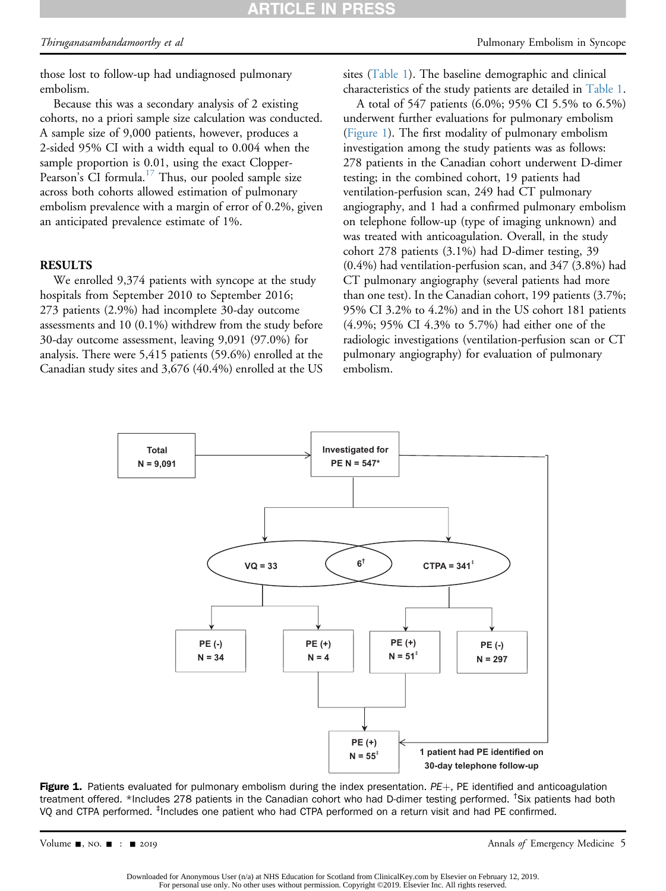those lost to follow-up had undiagnosed pulmonary embolism.

Because this was a secondary analysis of 2 existing cohorts, no a priori sample size calculation was conducted. A sample size of 9,000 patients, however, produces a 2-sided 95% CI with a width equal to 0.004 when the sample proportion is 0.01, using the exact Clopper-Pearson's CI formula.<sup>[17](#page-10-2)</sup> Thus, our pooled sample size across both cohorts allowed estimation of pulmonary embolism prevalence with a margin of error of 0.2%, given an anticipated prevalence estimate of 1%.

#### RESULTS

We enrolled 9,374 patients with syncope at the study hospitals from September 2010 to September 2016; 273 patients (2.9%) had incomplete 30-day outcome assessments and 10 (0.1%) withdrew from the study before 30-day outcome assessment, leaving 9,091 (97.0%) for analysis. There were 5,415 patients (59.6%) enrolled at the Canadian study sites and 3,676 (40.4%) enrolled at the US

sites ([Table 1\)](#page-3-4). The baseline demographic and clinical characteristics of the study patients are detailed in [Table 1](#page-3-4).

A total of 547 patients (6.0%; 95% CI 5.5% to 6.5%) underwent further evaluations for pulmonary embolism ([Figure 1\)](#page-4-0). The first modality of pulmonary embolism investigation among the study patients was as follows: 278 patients in the Canadian cohort underwent D-dimer testing; in the combined cohort, 19 patients had ventilation-perfusion scan, 249 had CT pulmonary angiography, and 1 had a confirmed pulmonary embolism on telephone follow-up (type of imaging unknown) and was treated with anticoagulation. Overall, in the study cohort 278 patients (3.1%) had D-dimer testing, 39 (0.4%) had ventilation-perfusion scan, and 347 (3.8%) had CT pulmonary angiography (several patients had more than one test). In the Canadian cohort, 199 patients (3.7%; 95% CI 3.2% to 4.2%) and in the US cohort 181 patients (4.9%; 95% CI 4.3% to 5.7%) had either one of the radiologic investigations (ventilation-perfusion scan or CT pulmonary angiography) for evaluation of pulmonary embolism.

<span id="page-4-0"></span>

Figure 1. Patients evaluated for pulmonary embolism during the index presentation.  $PE+$ , PE identified and anticoagulation treatment offered. \*Includes 278 patients in the Canadian cohort who had D-dimer testing performed. <sup>†</sup>Six patients had both VQ and CTPA performed. ‡ Includes one patient who had CTPA performed on a return visit and had PE confirmed.

Volume  $\blacksquare$ , NO.  $\blacksquare$ :  $\blacksquare$  2019 2019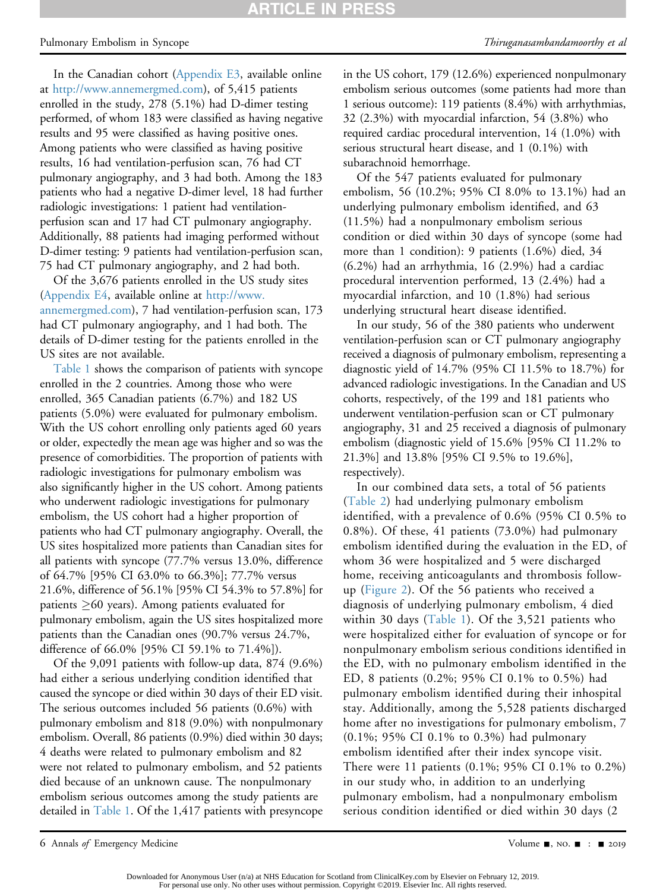#### Pulmonary Embolism in Syncope Thiruganasambandamoorthy et al

In the Canadian cohort (Appendix E3, available online at <http://www.annemergmed.com>), of 5,415 patients enrolled in the study, 278 (5.1%) had D-dimer testing performed, of whom 183 were classified as having negative results and 95 were classified as having positive ones. Among patients who were classified as having positive results, 16 had ventilation-perfusion scan, 76 had CT pulmonary angiography, and 3 had both. Among the 183 patients who had a negative D-dimer level, 18 had further radiologic investigations: 1 patient had ventilationperfusion scan and 17 had CT pulmonary angiography. Additionally, 88 patients had imaging performed without D-dimer testing: 9 patients had ventilation-perfusion scan, 75 had CT pulmonary angiography, and 2 had both.

Of the 3,676 patients enrolled in the US study sites (Appendix E4, available online at [http://www.](http://www.annemergmed.com) [annemergmed.com](http://www.annemergmed.com)), 7 had ventilation-perfusion scan, 173 had CT pulmonary angiography, and 1 had both. The details of D-dimer testing for the patients enrolled in the US sites are not available.

[Table 1](#page-3-4) shows the comparison of patients with syncope enrolled in the 2 countries. Among those who were enrolled, 365 Canadian patients (6.7%) and 182 US patients (5.0%) were evaluated for pulmonary embolism. With the US cohort enrolling only patients aged 60 years or older, expectedly the mean age was higher and so was the presence of comorbidities. The proportion of patients with radiologic investigations for pulmonary embolism was also significantly higher in the US cohort. Among patients who underwent radiologic investigations for pulmonary embolism, the US cohort had a higher proportion of patients who had CT pulmonary angiography. Overall, the US sites hospitalized more patients than Canadian sites for all patients with syncope (77.7% versus 13.0%, difference of 64.7% [95% CI 63.0% to 66.3%]; 77.7% versus 21.6%, difference of 56.1% [95% CI 54.3% to 57.8%] for patients  $\geq 60$  years). Among patients evaluated for pulmonary embolism, again the US sites hospitalized more patients than the Canadian ones (90.7% versus 24.7%, difference of 66.0% [95% CI 59.1% to 71.4%]).

Of the 9,091 patients with follow-up data, 874 (9.6%) had either a serious underlying condition identified that caused the syncope or died within 30 days of their ED visit. The serious outcomes included 56 patients (0.6%) with pulmonary embolism and 818 (9.0%) with nonpulmonary embolism. Overall, 86 patients (0.9%) died within 30 days; 4 deaths were related to pulmonary embolism and 82 were not related to pulmonary embolism, and 52 patients died because of an unknown cause. The nonpulmonary embolism serious outcomes among the study patients are detailed in [Table 1.](#page-3-4) Of the 1,417 patients with presyncope

in the US cohort, 179 (12.6%) experienced nonpulmonary embolism serious outcomes (some patients had more than 1 serious outcome): 119 patients (8.4%) with arrhythmias, 32 (2.3%) with myocardial infarction, 54 (3.8%) who required cardiac procedural intervention, 14 (1.0%) with serious structural heart disease, and 1 (0.1%) with subarachnoid hemorrhage.

Of the 547 patients evaluated for pulmonary embolism, 56 (10.2%; 95% CI 8.0% to 13.1%) had an underlying pulmonary embolism identified, and 63 (11.5%) had a nonpulmonary embolism serious condition or died within 30 days of syncope (some had more than 1 condition): 9 patients (1.6%) died, 34 (6.2%) had an arrhythmia, 16 (2.9%) had a cardiac procedural intervention performed, 13 (2.4%) had a myocardial infarction, and 10 (1.8%) had serious underlying structural heart disease identified.

In our study, 56 of the 380 patients who underwent ventilation-perfusion scan or CT pulmonary angiography received a diagnosis of pulmonary embolism, representing a diagnostic yield of 14.7% (95% CI 11.5% to 18.7%) for advanced radiologic investigations. In the Canadian and US cohorts, respectively, of the 199 and 181 patients who underwent ventilation-perfusion scan or CT pulmonary angiography, 31 and 25 received a diagnosis of pulmonary embolism (diagnostic yield of 15.6% [95% CI 11.2% to 21.3%] and 13.8% [95% CI 9.5% to 19.6%], respectively).

In our combined data sets, a total of 56 patients ([Table 2\)](#page-6-0) had underlying pulmonary embolism identified, with a prevalence of 0.6% (95% CI 0.5% to 0.8%). Of these, 41 patients (73.0%) had pulmonary embolism identified during the evaluation in the ED, of whom 36 were hospitalized and 5 were discharged home, receiving anticoagulants and thrombosis followup [\(Figure 2](#page-6-1)). Of the 56 patients who received a diagnosis of underlying pulmonary embolism, 4 died within 30 days ([Table 1](#page-3-4)). Of the 3,521 patients who were hospitalized either for evaluation of syncope or for nonpulmonary embolism serious conditions identified in the ED, with no pulmonary embolism identified in the ED, 8 patients (0.2%; 95% CI 0.1% to 0.5%) had pulmonary embolism identified during their inhospital stay. Additionally, among the 5,528 patients discharged home after no investigations for pulmonary embolism, 7 (0.1%; 95% CI 0.1% to 0.3%) had pulmonary embolism identified after their index syncope visit. There were 11 patients (0.1%; 95% CI 0.1% to 0.2%) in our study who, in addition to an underlying pulmonary embolism, had a nonpulmonary embolism serious condition identified or died within 30 days (2

6 Annals of Emergency Medicine **Contract Contract Contract Contract Contract Contract Contract Contract Contract Contract Contract Contract Contract Oriental Contract Contract Contract Contract Oriental Contract Contract C**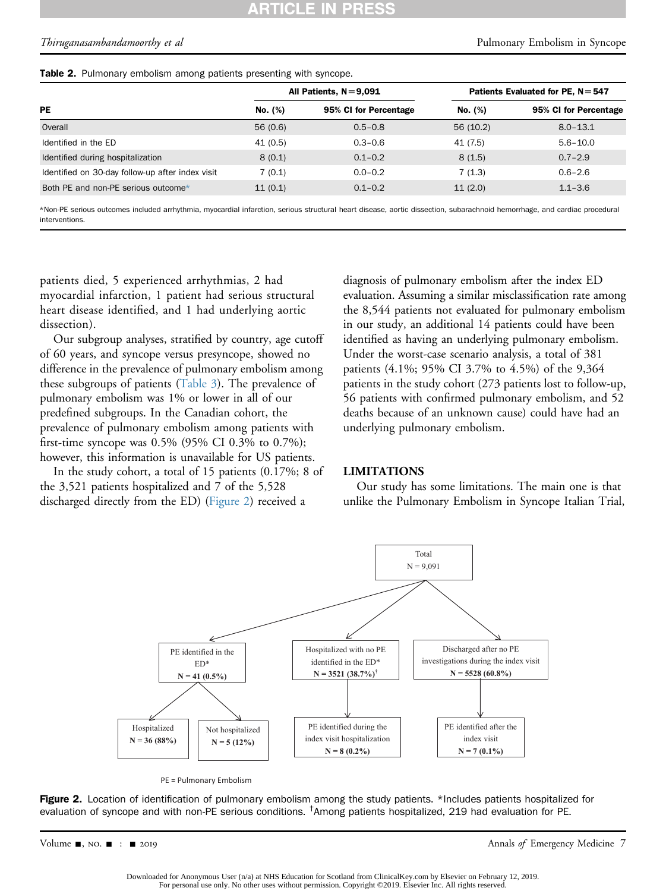#### **PRES RTICLE IN**

Thiruganasambandamoorthy et al Pulmonary Embolism in Syncope

<span id="page-6-0"></span>

|  | Table 2. Pulmonary embolism among patients presenting with syncope. |  |  |  |  |  |  |
|--|---------------------------------------------------------------------|--|--|--|--|--|--|
|--|---------------------------------------------------------------------|--|--|--|--|--|--|

|                                                  |         | All Patients, $N = 9.091$ | Patients Evaluated for PE, $N = 547$ |                       |  |
|--------------------------------------------------|---------|---------------------------|--------------------------------------|-----------------------|--|
| PE                                               | No. (%) | 95% CI for Percentage     | No. (%)                              | 95% CI for Percentage |  |
| Overall                                          | 56(0.6) | $0.5 - 0.8$               | 56 (10.2)                            | $8.0 - 13.1$          |  |
| Identified in the ED                             | 41(0.5) | $0.3 - 0.6$               | 41 (7.5)                             | $5.6 - 10.0$          |  |
| Identified during hospitalization                | 8(0.1)  | $0.1 - 0.2$               | 8(1.5)                               | $0.7 - 2.9$           |  |
| Identified on 30-day follow-up after index visit | 7(0.1)  | $0.0 - 0.2$               | 7(1.3)                               | $0.6 - 2.6$           |  |
| Both PE and non-PE serious outcome*              | 11(0.1) | $0.1 - 0.2$               | 11(2.0)                              | $1.1 - 3.6$           |  |

<span id="page-6-2"></span>\*Non-PE serious outcomes included arrhythmia, myocardial infarction, serious structural heart disease, aortic dissection, subarachnoid hemorrhage, and cardiac procedural interventions.

patients died, 5 experienced arrhythmias, 2 had myocardial infarction, 1 patient had serious structural heart disease identified, and 1 had underlying aortic dissection).

Our subgroup analyses, stratified by country, age cutoff of 60 years, and syncope versus presyncope, showed no difference in the prevalence of pulmonary embolism among these subgroups of patients ([Table 3\)](#page-7-0). The prevalence of pulmonary embolism was 1% or lower in all of our predefined subgroups. In the Canadian cohort, the prevalence of pulmonary embolism among patients with first-time syncope was 0.5% (95% CI 0.3% to 0.7%); however, this information is unavailable for US patients.

<span id="page-6-1"></span>In the study cohort, a total of 15 patients (0.17%; 8 of the 3,521 patients hospitalized and 7 of the 5,528 discharged directly from the ED) ([Figure 2](#page-6-1)) received a

diagnosis of pulmonary embolism after the index ED evaluation. Assuming a similar misclassification rate among the 8,544 patients not evaluated for pulmonary embolism in our study, an additional 14 patients could have been identified as having an underlying pulmonary embolism. Under the worst-case scenario analysis, a total of 381 patients (4.1%; 95% CI 3.7% to 4.5%) of the 9,364 patients in the study cohort (273 patients lost to follow-up, 56 patients with confirmed pulmonary embolism, and 52 deaths because of an unknown cause) could have had an underlying pulmonary embolism.

#### LIMITATIONS

Our study has some limitations. The main one is that unlike the Pulmonary Embolism in Syncope Italian Trial,





Figure 2. Location of identification of pulmonary embolism among the study patients. \*Includes patients hospitalized for evaluation of syncope and with non-PE serious conditions. <sup>†</sup>Among patients hospitalized, 219 had evaluation for PE.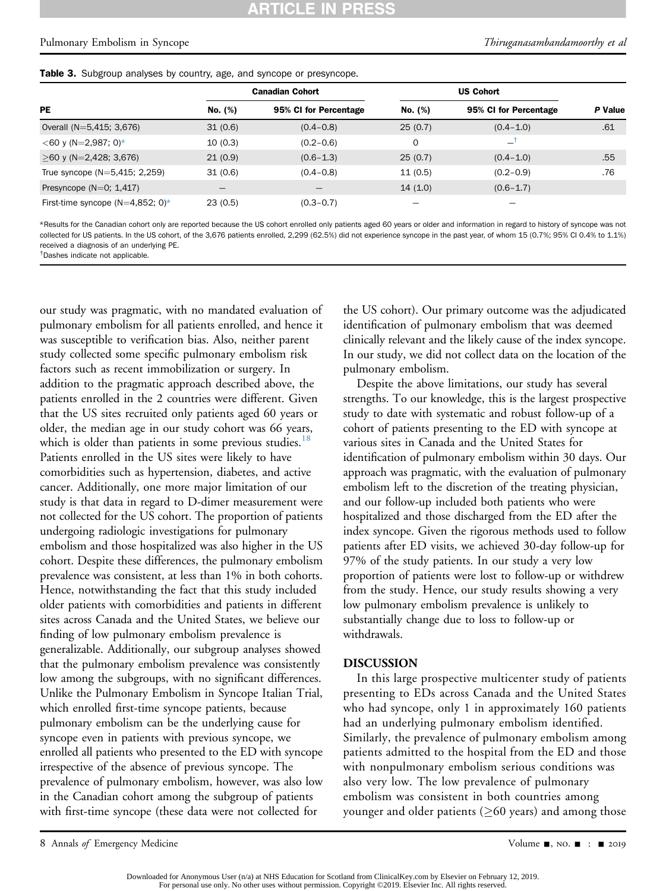#### ARTICLE IN **PRES**

#### Pulmonary Embolism in Syncope Thiruganasambandamoorthy et al

<span id="page-7-0"></span>

|  |  |  |  |  |  |  |  |  | Table 3. Subgroup analyses by country, age, and syncope or presyncope. |
|--|--|--|--|--|--|--|--|--|------------------------------------------------------------------------|
|--|--|--|--|--|--|--|--|--|------------------------------------------------------------------------|

|                                  |         | <b>Canadian Cohort</b> |             |                       |         |
|----------------------------------|---------|------------------------|-------------|-----------------------|---------|
| PE                               | No. (%) | 95% CI for Percentage  | No. (%)     | 95% CI for Percentage | P Value |
| Overall (N=5,415; 3,676)         | 31(0.6) | $(0.4 - 0.8)$          | 25(0.7)     | $(0.4 - 1.0)$         | .61     |
| $<$ 60 y (N=2,987; 0)*           | 10(0.3) | $(0.2 - 0.6)$          | $\mathbf 0$ |                       |         |
| $>60$ y (N=2,428; 3,676)         | 21(0.9) | $(0.6 - 1.3)$          | 25(0.7)     | $(0.4 - 1.0)$         | .55     |
| True syncope $(N=5,415; 2,259)$  | 31(0.6) | $(0.4 - 0.8)$          | 11(0.5)     | $(0.2 - 0.9)$         | .76     |
| Presyncope ( $N=0$ ; 1,417)      |         |                        | 14(1.0)     | $(0.6 - 1.7)$         |         |
| First-time syncope (N=4,852; 0)* | 23(0.5) | $(0.3 - 0.7)$          |             |                       |         |

<span id="page-7-1"></span>\*Results for the Canadian cohort only are reported because the US cohort enrolled only patients aged 60 years or older and information in regard to history of syncope was not collected for US patients. In the US cohort, of the 3,676 patients enrolled, 2,299 (62.5%) did not experience syncope in the past year, of whom 15 (0.7%; 95% CI 0.4% to 1.1%) received a diagnosis of an underlying PE.

<span id="page-7-2"></span>† Dashes indicate not applicable.

our study was pragmatic, with no mandated evaluation of pulmonary embolism for all patients enrolled, and hence it was susceptible to verification bias. Also, neither parent study collected some specific pulmonary embolism risk factors such as recent immobilization or surgery. In addition to the pragmatic approach described above, the patients enrolled in the 2 countries were different. Given that the US sites recruited only patients aged 60 years or older, the median age in our study cohort was 66 years, which is older than patients in some previous studies.<sup>[18](#page-10-3)</sup> Patients enrolled in the US sites were likely to have comorbidities such as hypertension, diabetes, and active cancer. Additionally, one more major limitation of our study is that data in regard to D-dimer measurement were not collected for the US cohort. The proportion of patients undergoing radiologic investigations for pulmonary embolism and those hospitalized was also higher in the US cohort. Despite these differences, the pulmonary embolism prevalence was consistent, at less than 1% in both cohorts. Hence, notwithstanding the fact that this study included older patients with comorbidities and patients in different sites across Canada and the United States, we believe our finding of low pulmonary embolism prevalence is generalizable. Additionally, our subgroup analyses showed that the pulmonary embolism prevalence was consistently low among the subgroups, with no significant differences. Unlike the Pulmonary Embolism in Syncope Italian Trial, which enrolled first-time syncope patients, because pulmonary embolism can be the underlying cause for syncope even in patients with previous syncope, we enrolled all patients who presented to the ED with syncope irrespective of the absence of previous syncope. The prevalence of pulmonary embolism, however, was also low in the Canadian cohort among the subgroup of patients with first-time syncope (these data were not collected for

the US cohort). Our primary outcome was the adjudicated identification of pulmonary embolism that was deemed clinically relevant and the likely cause of the index syncope. In our study, we did not collect data on the location of the pulmonary embolism.

Despite the above limitations, our study has several strengths. To our knowledge, this is the largest prospective study to date with systematic and robust follow-up of a cohort of patients presenting to the ED with syncope at various sites in Canada and the United States for identification of pulmonary embolism within 30 days. Our approach was pragmatic, with the evaluation of pulmonary embolism left to the discretion of the treating physician, and our follow-up included both patients who were hospitalized and those discharged from the ED after the index syncope. Given the rigorous methods used to follow patients after ED visits, we achieved 30-day follow-up for 97% of the study patients. In our study a very low proportion of patients were lost to follow-up or withdrew from the study. Hence, our study results showing a very low pulmonary embolism prevalence is unlikely to substantially change due to loss to follow-up or withdrawals.

#### DISCUSSION

In this large prospective multicenter study of patients presenting to EDs across Canada and the United States who had syncope, only 1 in approximately 160 patients had an underlying pulmonary embolism identified. Similarly, the prevalence of pulmonary embolism among patients admitted to the hospital from the ED and those with nonpulmonary embolism serious conditions was also very low. The low prevalence of pulmonary embolism was consistent in both countries among younger and older patients ( $\geq 60$  years) and among those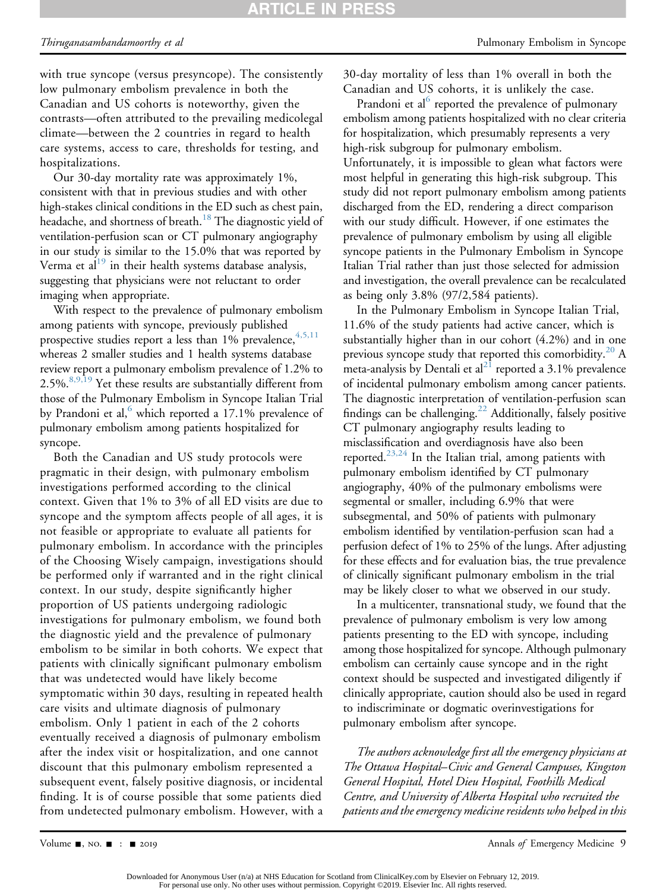# ARTICLE IN PRESS

with true syncope (versus presyncope). The consistently low pulmonary embolism prevalence in both the Canadian and US cohorts is noteworthy, given the contrasts—often attributed to the prevailing medicolegal climate—between the 2 countries in regard to health care systems, access to care, thresholds for testing, and hospitalizations.

Our 30-day mortality rate was approximately 1%, consistent with that in previous studies and with other high-stakes clinical conditions in the ED such as chest pain, headache, and shortness of breath.<sup>[18](#page-10-3)</sup> The diagnostic yield of ventilation-perfusion scan or CT pulmonary angiography in our study is similar to the 15.0% that was reported by Verma et al $^{19}$  $^{19}$  $^{19}$  in their health systems database analysis, suggesting that physicians were not reluctant to order imaging when appropriate.

With respect to the prevalence of pulmonary embolism among patients with syncope, previously published prospective studies report a less than  $1\%$  prevalence,  $4,5,11$ whereas 2 smaller studies and 1 health systems database review report a pulmonary embolism prevalence of 1.2% to 2.5%.<sup>[8,9,19](#page-9-5)</sup> Yet these results are substantially different from those of the Pulmonary Embolism in Syncope Italian Trial by Prandoni et al, $6$  which reported a 17.1% prevalence of pulmonary embolism among patients hospitalized for syncope.

Both the Canadian and US study protocols were pragmatic in their design, with pulmonary embolism investigations performed according to the clinical context. Given that 1% to 3% of all ED visits are due to syncope and the symptom affects people of all ages, it is not feasible or appropriate to evaluate all patients for pulmonary embolism. In accordance with the principles of the Choosing Wisely campaign, investigations should be performed only if warranted and in the right clinical context. In our study, despite significantly higher proportion of US patients undergoing radiologic investigations for pulmonary embolism, we found both the diagnostic yield and the prevalence of pulmonary embolism to be similar in both cohorts. We expect that patients with clinically significant pulmonary embolism that was undetected would have likely become symptomatic within 30 days, resulting in repeated health care visits and ultimate diagnosis of pulmonary embolism. Only 1 patient in each of the 2 cohorts eventually received a diagnosis of pulmonary embolism after the index visit or hospitalization, and one cannot discount that this pulmonary embolism represented a subsequent event, falsely positive diagnosis, or incidental finding. It is of course possible that some patients died from undetected pulmonary embolism. However, with a

30-day mortality of less than 1% overall in both the Canadian and US cohorts, it is unlikely the case.

Prandoni et al<sup>[6](#page-9-3)</sup> reported the prevalence of pulmonary embolism among patients hospitalized with no clear criteria for hospitalization, which presumably represents a very high-risk subgroup for pulmonary embolism. Unfortunately, it is impossible to glean what factors were most helpful in generating this high-risk subgroup. This study did not report pulmonary embolism among patients discharged from the ED, rendering a direct comparison with our study difficult. However, if one estimates the prevalence of pulmonary embolism by using all eligible syncope patients in the Pulmonary Embolism in Syncope Italian Trial rather than just those selected for admission and investigation, the overall prevalence can be recalculated as being only 3.8% (97/2,584 patients).

In the Pulmonary Embolism in Syncope Italian Trial, 11.6% of the study patients had active cancer, which is substantially higher than in our cohort (4.2%) and in one previous syncope study that reported this comorbidity.<sup>[20](#page-10-5)</sup> A meta-analysis by Dentali et al<sup>[21](#page-10-6)</sup> reported a 3.1% prevalence of incidental pulmonary embolism among cancer patients. The diagnostic interpretation of ventilation-perfusion scan findings can be challenging.<sup>[22](#page-10-7)</sup> Additionally, falsely positive CT pulmonary angiography results leading to misclassification and overdiagnosis have also been reported.<sup>23,24</sup> In the Italian trial, among patients with pulmonary embolism identified by CT pulmonary angiography, 40% of the pulmonary embolisms were segmental or smaller, including 6.9% that were subsegmental, and 50% of patients with pulmonary embolism identified by ventilation-perfusion scan had a perfusion defect of 1% to 25% of the lungs. After adjusting for these effects and for evaluation bias, the true prevalence of clinically significant pulmonary embolism in the trial may be likely closer to what we observed in our study.

In a multicenter, transnational study, we found that the prevalence of pulmonary embolism is very low among patients presenting to the ED with syncope, including among those hospitalized for syncope. Although pulmonary embolism can certainly cause syncope and in the right context should be suspected and investigated diligently if clinically appropriate, caution should also be used in regard to indiscriminate or dogmatic overinvestigations for pulmonary embolism after syncope.

The authors acknowledge first all the emergency physicians at The Ottawa Hospital–Civic and General Campuses, Kingston General Hospital, Hotel Dieu Hospital, Foothills Medical Centre, and University of Alberta Hospital who recruited the patients and the emergency medicine residents who helped in this

Volume  $\blacksquare$ , NO.  $\blacksquare$  :  $\blacksquare$  2019 2019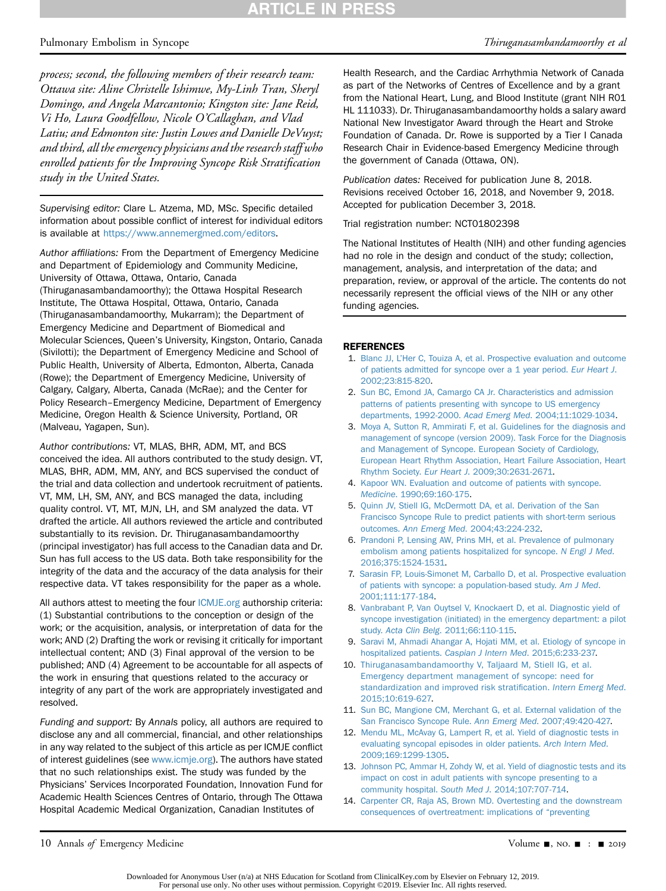# **ARTICLE IN PRESS**

process; second, the following members of their research team: Ottawa site: Aline Christelle Ishimwe, My-Linh Tran, Sheryl Domingo, and Angela Marcantonio; Kingston site: Jane Reid, Vi Ho, Laura Goodfellow, Nicole O'Callaghan, and Vlad Latiu; and Edmonton site: Justin Lowes and Danielle DeVuyst; and third, all the emergency physicians and the research staff who enrolled patients for the Improving Syncope Risk Stratification study in the United States.

Supervising editor: Clare L. Atzema, MD, MSc. Specific detailed information about possible conflict of interest for individual editors is available at <https://www.annemergmed.com/editors>.

Author affiliations: From the Department of Emergency Medicine and Department of Epidemiology and Community Medicine, University of Ottawa, Ottawa, Ontario, Canada (Thiruganasambandamoorthy); the Ottawa Hospital Research Institute, The Ottawa Hospital, Ottawa, Ontario, Canada (Thiruganasambandamoorthy, Mukarram); the Department of Emergency Medicine and Department of Biomedical and Molecular Sciences, Queen's University, Kingston, Ontario, Canada (Sivilotti); the Department of Emergency Medicine and School of Public Health, University of Alberta, Edmonton, Alberta, Canada (Rowe); the Department of Emergency Medicine, University of Calgary, Calgary, Alberta, Canada (McRae); and the Center for Policy Research–Emergency Medicine, Department of Emergency Medicine, Oregon Health & Science University, Portland, OR (Malveau, Yagapen, Sun).

Author contributions: VT, MLAS, BHR, ADM, MT, and BCS conceived the idea. All authors contributed to the study design. VT, MLAS, BHR, ADM, MM, ANY, and BCS supervised the conduct of the trial and data collection and undertook recruitment of patients. VT, MM, LH, SM, ANY, and BCS managed the data, including quality control. VT, MT, MJN, LH, and SM analyzed the data. VT drafted the article. All authors reviewed the article and contributed substantially to its revision. Dr. Thiruganasambandamoorthy (principal investigator) has full access to the Canadian data and Dr. Sun has full access to the US data. Both take responsibility for the integrity of the data and the accuracy of the data analysis for their respective data. VT takes responsibility for the paper as a whole.

All authors attest to meeting the four [ICMJE.org](http://ICMJE.org) authorship criteria: (1) Substantial contributions to the conception or design of the work; or the acquisition, analysis, or interpretation of data for the work; AND (2) Drafting the work or revising it critically for important intellectual content; AND (3) Final approval of the version to be published; AND (4) Agreement to be accountable for all aspects of the work in ensuring that questions related to the accuracy or integrity of any part of the work are appropriately investigated and resolved.

Funding and support: By Annals policy, all authors are required to disclose any and all commercial, financial, and other relationships in any way related to the subject of this article as per ICMJE conflict of interest guidelines (see [www.icmje.org\)](http://www.icmje.org). The authors have stated that no such relationships exist. The study was funded by the Physicians' Services Incorporated Foundation, Innovation Fund for Academic Health Sciences Centres of Ontario, through The Ottawa Hospital Academic Medical Organization, Canadian Institutes of

Pulmonary Embolism in Syncope Thiruganasambandamoorthy et al

Health Research, and the Cardiac Arrhythmia Network of Canada as part of the Networks of Centres of Excellence and by a grant from the National Heart, Lung, and Blood Institute (grant NIH R01 HL 111033). Dr. Thiruganasambandamoorthy holds a salary award National New Investigator Award through the Heart and Stroke Foundation of Canada. Dr. Rowe is supported by a Tier I Canada Research Chair in Evidence-based Emergency Medicine through the government of Canada (Ottawa, ON).

Publication dates: Received for publication June 8, 2018. Revisions received October 16, 2018, and November 9, 2018. Accepted for publication December 3, 2018.

Trial registration number: NCT01802398

The National Institutes of Health (NIH) and other funding agencies had no role in the design and conduct of the study; collection, management, analysis, and interpretation of the data; and preparation, review, or approval of the article. The contents do not necessarily represent the official views of the NIH or any other funding agencies.

#### <span id="page-9-0"></span>REFERENCES

- 1. Blanc JJ, L'[Her C, Touiza A, et al. Prospective evaluation and outcome](http://refhub.elsevier.com/S0196-0644(18)31535-X/sref1) [of patients admitted for syncope over a 1 year period.](http://refhub.elsevier.com/S0196-0644(18)31535-X/sref1) Eur Heart J. [2002;23:815-820](http://refhub.elsevier.com/S0196-0644(18)31535-X/sref1).
- 2. [Sun BC, Emond JA, Camargo CA Jr. Characteristics and admission](http://refhub.elsevier.com/S0196-0644(18)31535-X/sref2) [patterns of patients presenting with syncope to US emergency](http://refhub.elsevier.com/S0196-0644(18)31535-X/sref2) [departments, 1992-2000.](http://refhub.elsevier.com/S0196-0644(18)31535-X/sref2) Acad Emerg Med. 2004;11:1029-1034.
- <span id="page-9-1"></span>3. [Moya A, Sutton R, Ammirati F, et al. Guidelines for the diagnosis and](http://refhub.elsevier.com/S0196-0644(18)31535-X/sref3) [management of syncope \(version 2009\). Task Force for the Diagnosis](http://refhub.elsevier.com/S0196-0644(18)31535-X/sref3) [and Management of Syncope. European Society of Cardiology,](http://refhub.elsevier.com/S0196-0644(18)31535-X/sref3) [European Heart Rhythm Association, Heart Failure Association, Heart](http://refhub.elsevier.com/S0196-0644(18)31535-X/sref3) Rhythm Society. Eur Heart J[. 2009;30:2631-2671.](http://refhub.elsevier.com/S0196-0644(18)31535-X/sref3)
- <span id="page-9-2"></span>4. [Kapoor WN. Evaluation and outcome of patients with syncope.](http://refhub.elsevier.com/S0196-0644(18)31535-X/sref4) Medicine[. 1990;69:160-175.](http://refhub.elsevier.com/S0196-0644(18)31535-X/sref4)
- 5. [Quinn JV, Stiell IG, McDermott DA, et al. Derivation of the San](http://refhub.elsevier.com/S0196-0644(18)31535-X/sref5) [Francisco Syncope Rule to predict patients with short-term serious](http://refhub.elsevier.com/S0196-0644(18)31535-X/sref5) outcomes. Ann Emerg Med[. 2004;43:224-232.](http://refhub.elsevier.com/S0196-0644(18)31535-X/sref5)
- <span id="page-9-3"></span>6. [Prandoni P, Lensing AW, Prins MH, et al. Prevalence of pulmonary](http://refhub.elsevier.com/S0196-0644(18)31535-X/sref6) [embolism among patients hospitalized for syncope.](http://refhub.elsevier.com/S0196-0644(18)31535-X/sref6) N Engl J Med. [2016;375:1524-1531.](http://refhub.elsevier.com/S0196-0644(18)31535-X/sref6)
- 7. [Sarasin FP, Louis-Simonet M, Carballo D, et al. Prospective evaluation](http://refhub.elsevier.com/S0196-0644(18)31535-X/sref7) [of patients with syncope: a population-based study.](http://refhub.elsevier.com/S0196-0644(18)31535-X/sref7) Am J Med. [2001;111:177-184](http://refhub.elsevier.com/S0196-0644(18)31535-X/sref7).
- <span id="page-9-5"></span>8. [Vanbrabant P, Van Ouytsel V, Knockaert D, et al. Diagnostic yield of](http://refhub.elsevier.com/S0196-0644(18)31535-X/sref8) [syncope investigation \(initiated\) in the emergency department: a pilot](http://refhub.elsevier.com/S0196-0644(18)31535-X/sref8) study. Acta Clin Belg[. 2011;66:110-115.](http://refhub.elsevier.com/S0196-0644(18)31535-X/sref8)
- 9. [Saravi M, Ahmadi Ahangar A, Hojati MM, et al. Etiology of syncope in](http://refhub.elsevier.com/S0196-0644(18)31535-X/sref9) hospitalized patients. [Caspian J Intern Med](http://refhub.elsevier.com/S0196-0644(18)31535-X/sref9). 2015;6:233-237.
- 10. [Thiruganasambandamoorthy V, Taljaard M, Stiell IG, et al.](http://refhub.elsevier.com/S0196-0644(18)31535-X/sref10) [Emergency department management of syncope: need for](http://refhub.elsevier.com/S0196-0644(18)31535-X/sref10) [standardization and improved risk strati](http://refhub.elsevier.com/S0196-0644(18)31535-X/sref10)fication. Intern Emerg Med. [2015;10:619-627.](http://refhub.elsevier.com/S0196-0644(18)31535-X/sref10)
- 11. [Sun BC, Mangione CM, Merchant G, et al. External validation of the](http://refhub.elsevier.com/S0196-0644(18)31535-X/sref11) [San Francisco Syncope Rule.](http://refhub.elsevier.com/S0196-0644(18)31535-X/sref11) Ann Emerg Med. 2007;49:420-427.
- <span id="page-9-4"></span>12. [Mendu ML, McAvay G, Lampert R, et al. Yield of diagnostic tests in](http://refhub.elsevier.com/S0196-0644(18)31535-X/sref12) [evaluating syncopal episodes in older patients.](http://refhub.elsevier.com/S0196-0644(18)31535-X/sref12) Arch Intern Med. [2009;169:1299-1305](http://refhub.elsevier.com/S0196-0644(18)31535-X/sref12).
- 13. [Johnson PC, Ammar H, Zohdy W, et al. Yield of diagnostic tests and its](http://refhub.elsevier.com/S0196-0644(18)31535-X/sref13) [impact on cost in adult patients with syncope presenting to a](http://refhub.elsevier.com/S0196-0644(18)31535-X/sref13) community hospital. South Med J[. 2014;107:707-714.](http://refhub.elsevier.com/S0196-0644(18)31535-X/sref13)
- 14. [Carpenter CR, Raja AS, Brown MD. Overtesting and the downstream](http://refhub.elsevier.com/S0196-0644(18)31535-X/sref14) [consequences of overtreatment: implications of](http://refhub.elsevier.com/S0196-0644(18)31535-X/sref14) "preventing